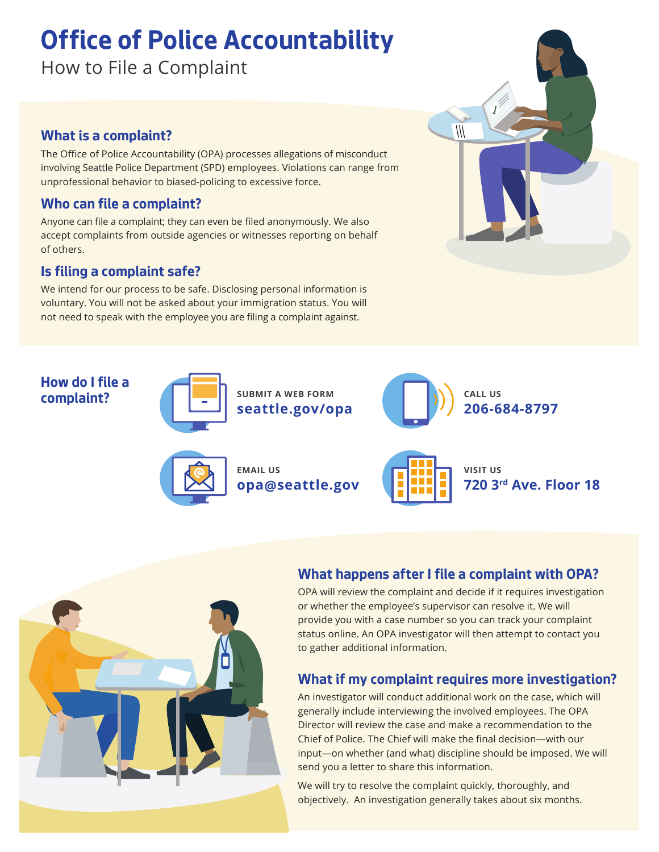# **Office of Police Accountability**

How to File a Complaint

#### **What is a complaint?**

The Office of Police Accountability (OPA) processes allegations of misconduct involving Seattle Police Department (SPD) employees. Violations can range from unprofessional behavior to biased-policing to excessive force.

### **Who can file a complaint?**

Anyone can file a complaint; they can even be filed anonymously. We also accept complaints from outside agencies or witnesses reporting on behalf of others.

#### **Is filing a complaint safe?**

We intend for our process to be safe. Disclosing personal information is voluntary. You will not be asked about your immigration status. You will not need to speak with the employee you are filing a complaint against.

#### **How do I file a complaint? SUBMIT A WEB FORM**



**seattle.gov/opa**





**EMAIL US opa@seattle.gov**



**VISIT US 720 3rd Ave. Floor 18**



# **What happens after I file a complaint with OPA?**

OPA will review the complaint and decide if it requires investigation or whether the employee's supervisor can resolve it. We will provide you with a case number so you can track your complaint status online. An OPA investigator will then attempt to contact you to gather additional information.

# **What if my complaint requires more investigation?**

An investigator will conduct additional work on the case, which will generally include interviewing the involved employees. The OPA Director will review the case and make a recommendation to the Chief of Police. The Chief will make the final decision—with our input—on whether (and what) discipline should be imposed. We will send you a letter to share this information.

We will try to resolve the complaint quickly, thoroughly, and objectively. An investigation generally takes about six months.